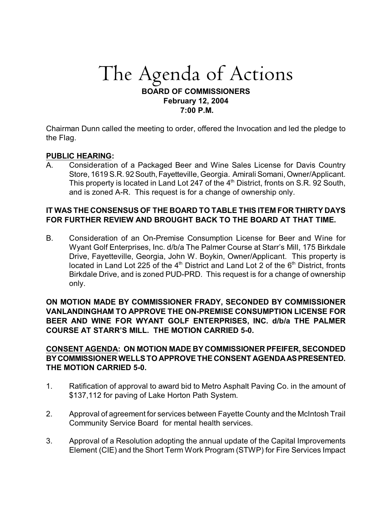# The Agenda of Actions **BOARD OF COMMISSIONERS February 12, 2004 7:00 P.M.**

Chairman Dunn called the meeting to order, offered the Invocation and led the pledge to the Flag.

#### **PUBLIC HEARING:**

A. Consideration of a Packaged Beer and Wine Sales License for Davis Country Store, 1619 S.R. 92 South, Fayetteville, Georgia. Amirali Somani, Owner/Applicant. This property is located in Land Lot 247 of the  $4<sup>th</sup>$  District, fronts on S.R. 92 South, and is zoned A-R. This request is for a change of ownership only.

## **IT WAS THE CONSENSUS OF THE BOARD TO TABLE THIS ITEM FOR THIRTY DAYS FOR FURTHER REVIEW AND BROUGHT BACK TO THE BOARD AT THAT TIME.**

B. Consideration of an On-Premise Consumption License for Beer and Wine for Wyant Golf Enterprises, Inc. d/b/a The Palmer Course at Starr's Mill, 175 Birkdale Drive, Fayetteville, Georgia, John W. Boykin, Owner/Applicant. This property is located in Land Lot 225 of the  $4<sup>th</sup>$  District and Land Lot 2 of the  $6<sup>th</sup>$  District, fronts Birkdale Drive, and is zoned PUD-PRD. This request is for a change of ownership only.

**ON MOTION MADE BY COMMISSIONER FRADY, SECONDED BY COMMISSIONER VANLANDINGHAM TO APPROVE THE ON-PREMISE CONSUMPTION LICENSE FOR BEER AND WINE FOR WYANT GOLF ENTERPRISES, INC. d/b/a THE PALMER COURSE AT STARR'S MILL. THE MOTION CARRIED 5-0.**

**CONSENT AGENDA: ON MOTION MADE BY COMMISSIONER PFEIFER, SECONDED BY COMMISSIONER WELLS TO APPROVE THE CONSENT AGENDA AS PRESENTED. THE MOTION CARRIED 5-0.**

- 1. Ratification of approval to award bid to Metro Asphalt Paving Co. in the amount of \$137,112 for paving of Lake Horton Path System.
- 2. Approval of agreement for services between Fayette County and the McIntosh Trail Community Service Board for mental health services.
- 3. Approval of a Resolution adopting the annual update of the Capital Improvements Element (CIE) and the Short Term Work Program (STWP) for Fire Services Impact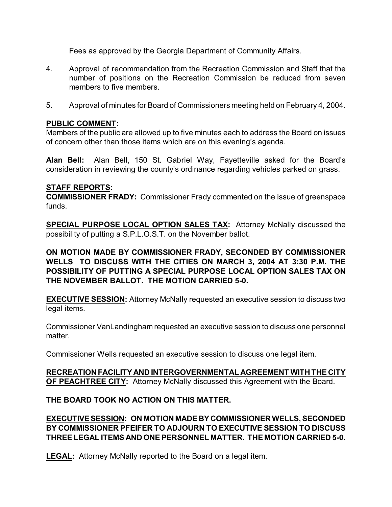Fees as approved by the Georgia Department of Community Affairs.

- 4. Approval of recommendation from the Recreation Commission and Staff that the number of positions on the Recreation Commission be reduced from seven members to five members.
- 5. Approval of minutes for Board of Commissioners meeting held on February 4, 2004.

#### **PUBLIC COMMENT:**

Members of the public are allowed up to five minutes each to address the Board on issues of concern other than those items which are on this evening's agenda.

**Alan Bell:** Alan Bell, 150 St. Gabriel Way, Fayetteville asked for the Board's consideration in reviewing the county's ordinance regarding vehicles parked on grass.

#### **STAFF REPORTS:**

**COMMISSIONER FRADY:** Commissioner Frady commented on the issue of greenspace funds.

**SPECIAL PURPOSE LOCAL OPTION SALES TAX:** Attorney McNally discussed the possibility of putting a S.P.L.O.S.T. on the November ballot.

**ON MOTION MADE BY COMMISSIONER FRADY, SECONDED BY COMMISSIONER WELLS TO DISCUSS WITH THE CITIES ON MARCH 3, 2004 AT 3:30 P.M. THE POSSIBILITY OF PUTTING A SPECIAL PURPOSE LOCAL OPTION SALES TAX ON THE NOVEMBER BALLOT. THE MOTION CARRIED 5-0.** 

**EXECUTIVE SESSION:** Attorney McNally requested an executive session to discuss two legal items.

Commissioner VanLandingham requested an executive session to discuss one personnel matter.

Commissioner Wells requested an executive session to discuss one legal item.

**RECREATION FACILITY AND INTERGOVERNMENTAL AGREEMENT WITH THE CITY OF PEACHTREE CITY:** Attorney McNally discussed this Agreement with the Board.

**THE BOARD TOOK NO ACTION ON THIS MATTER.**

**EXECUTIVE SESSION: ON MOTION MADE BY COMMISSIONER WELLS, SECONDED BY COMMISSIONER PFEIFER TO ADJOURN TO EXECUTIVE SESSION TO DISCUSS THREE LEGAL ITEMS AND ONE PERSONNEL MATTER. THE MOTION CARRIED 5-0.**

**LEGAL:** Attorney McNally reported to the Board on a legal item.